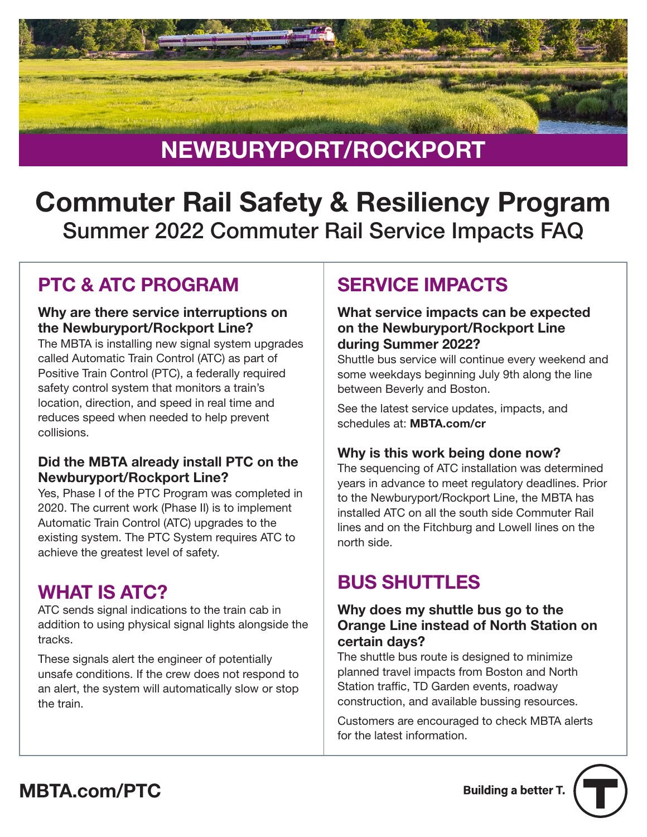

# Commuter Rail Safety & Resiliency Program Summer 2022 Commuter Rail Service Impacts FAQ

### PTC & ATC PROGRAM

#### Why are there service interruptions on the Newburyport/Rockport Line?

The MBTA is installing new signal system upgrades called Automatic Train Control (ATC) as part of Positive Train Control (PTC), a federally required safety control system that monitors a train's location, direction, and speed in real time and reduces speed when needed to help prevent collisions.

#### Did the MBTA already install PTC on the Newburyport/Rockport Line?

Yes, Phase I of the PTC Program was completed in 2020. The current work (Phase II) is to implement Automatic Train Control (ATC) upgrades to the existing system. The PTC System requires ATC to achieve the greatest level of safety.

### WHAT IS ATC?

ATC sends signal indications to the train cab in addition to using physical signal lights alongside the tracks.

These signals alert the engineer of potentially unsafe conditions. If the crew does not respond to an alert, the system will automatically slow or stop the train.

## SERVICE IMPACTS

#### What service impacts can be expected on the Newburyport/Rockport Line during Summer 2022?

Shuttle bus service will continue every weekend and some weekdays beginning July 9th along the line between Beverly and Boston.

See the latest service updates, impacts, and schedules at: [MBTA.com/cr](https://www.mbta.com/schedules/commuter-rail)

#### Why is this work being done now?

The sequencing of ATC installation was determined years in advance to meet regulatory deadlines. Prior to the Newburyport/Rockport Line, the MBTA has installed ATC on all the south side Commuter Rail lines and on the Fitchburg and Lowell lines on the north side.

### BUS SHUTTLES

#### Why does my shuttle bus go to the Orange Line instead of North Station on certain days?

The shuttle bus route is designed to minimize planned travel impacts from Boston and North Station traffic, TD Garden events, roadway construction, and available bussing resources.

Customers are encouraged to check MBTA alerts for the latest information.